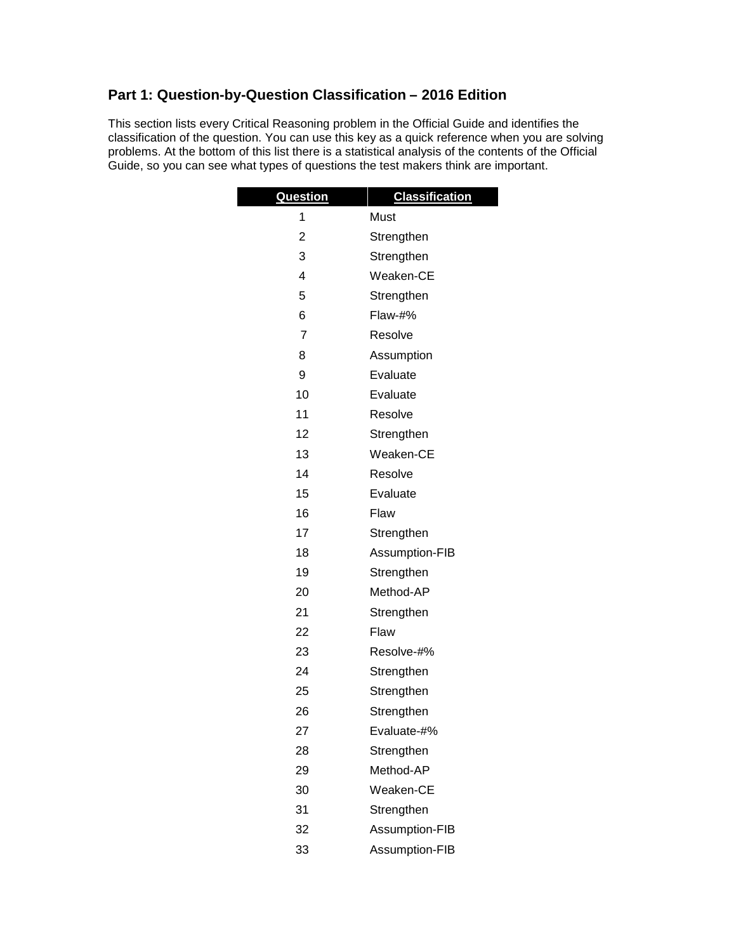## **Part 1: Question-by-Question Classification – 2016 Edition**

This section lists every Critical Reasoning problem in the Official Guide and identifies the classification of the question. You can use this key as a quick reference when you are solving problems. At the bottom of this list there is a statistical analysis of the contents of the Official Guide, so you can see what types of questions the test makers think are important.

| <b>Question</b> | <b>Classification</b> |  |
|-----------------|-----------------------|--|
| 1               | Must                  |  |
| 2               | Strengthen            |  |
| 3               | Strengthen            |  |
| 4               | Weaken-CE             |  |
| 5               | Strengthen            |  |
| 6               | $Flaw-#%$             |  |
| $\overline{7}$  | Resolve               |  |
| 8               | Assumption            |  |
| 9               | Evaluate              |  |
| 10              | Evaluate              |  |
| 11              | Resolve               |  |
| 12              | Strengthen            |  |
| 13              | Weaken-CE             |  |
| 14              | Resolve               |  |
| 15              | Evaluate              |  |
| 16              | Flaw                  |  |
| 17              | Strengthen            |  |
| 18              | Assumption-FIB        |  |
| 19              | Strengthen            |  |
| 20              | Method-AP             |  |
| 21              | Strengthen            |  |
| 22              | Flaw                  |  |
| 23              | Resolve-#%            |  |
| 24              | Strengthen            |  |
| 25              | Strengthen            |  |
| 26              | Strengthen            |  |
| 27              | Evaluate-#%           |  |
| 28              | Strengthen            |  |
| 29              | Method-AP             |  |
| 30              | Weaken-CE             |  |
| 31              | Strengthen            |  |
| 32              | Assumption-FIB        |  |
| 33              | Assumption-FIB        |  |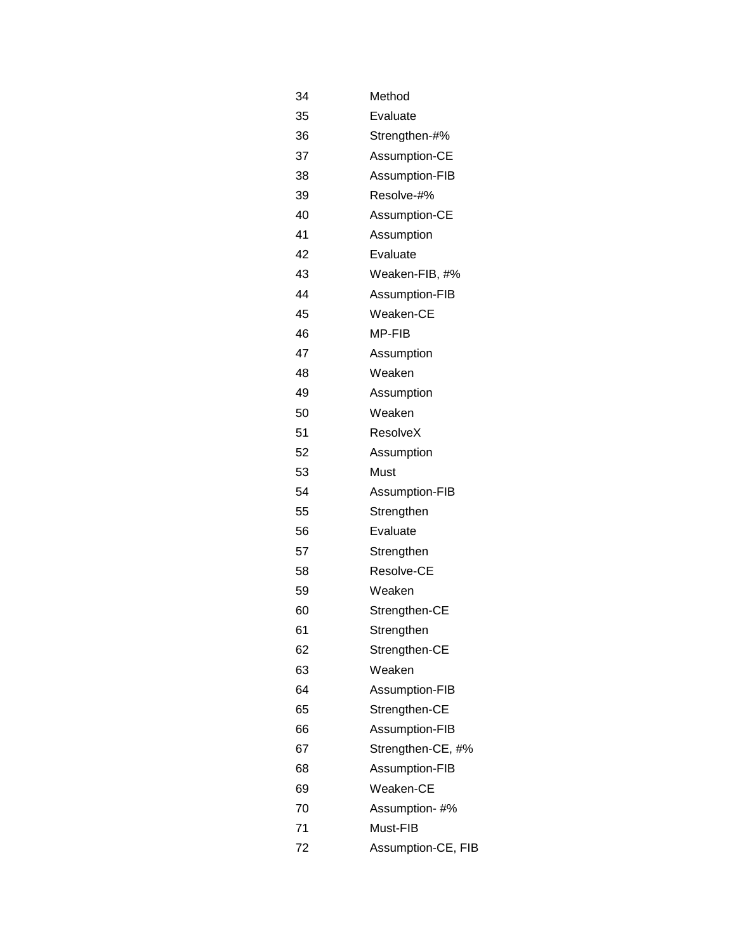| 34 | Method             |
|----|--------------------|
| 35 | Evaluate           |
| 36 | Strengthen-#%      |
| 37 | Assumption-CE      |
| 38 | Assumption-FIB     |
| 39 | Resolve-#%         |
| 40 | Assumption-CE      |
| 41 | Assumption         |
| 42 | Evaluate           |
| 43 | Weaken-FIB, #%     |
| 44 | Assumption-FIB     |
| 45 | Weaken-CE          |
| 46 | MP-FIB             |
| 47 | Assumption         |
| 48 | Weaken             |
| 49 | Assumption         |
| 50 | Weaken             |
| 51 | ResolveX           |
| 52 | Assumption         |
| 53 | Must               |
| 54 | Assumption-FIB     |
| 55 | Strengthen         |
| 56 | Evaluate           |
| 57 | Strengthen         |
| 58 | Resolve-CE         |
| 59 | Weaken             |
| 60 | Strengthen-CE      |
| 61 | Strengthen         |
| 62 | Strengthen-CE      |
| 63 | Weaken             |
| 64 | Assumption-FIB     |
| 65 | Strengthen-CE      |
| 66 | Assumption-FIB     |
| 67 | Strengthen-CE, #%  |
| 68 | Assumption-FIB     |
| 69 | Weaken-CE          |
| 70 | Assumption-#%      |
| 71 | Must-FIB           |
| 72 | Assumption-CE, FIB |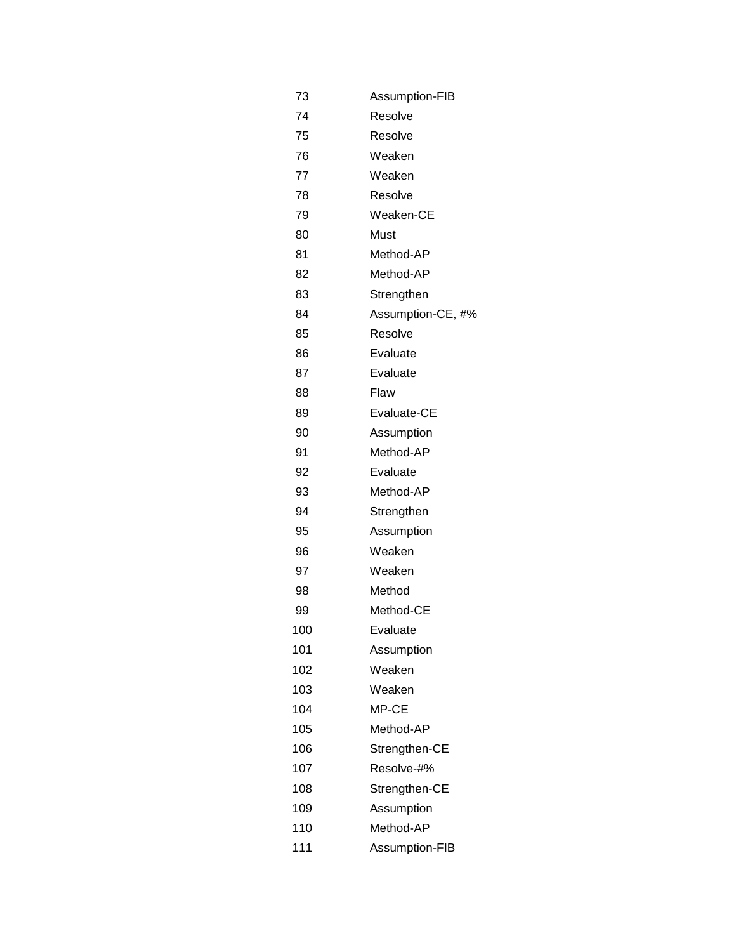| 73  | Assumption-FIB    |
|-----|-------------------|
| 74  | Resolve           |
| 75  | Resolve           |
| 76  | Weaken            |
| 77  | Weaken            |
| 78  | Resolve           |
| 79  | Weaken-CE         |
| 80  | Must              |
| 81  | Method-AP         |
| 82  | Method-AP         |
| 83  | Strengthen        |
| 84  | Assumption-CE, #% |
| 85  | Resolve           |
| 86  | Evaluate          |
| 87  | Evaluate          |
| 88  | Flaw              |
| 89  | Evaluate-CE       |
| 90  | Assumption        |
| 91  | Method-AP         |
| 92  | Evaluate          |
| 93  | Method-AP         |
| 94  | Strengthen        |
| 95  | Assumption        |
| 96  | Weaken            |
| 97  | Weaken            |
| 98  | Method            |
| 99  | Method-CE         |
| 100 | Evaluate          |
| 101 | Assumption        |
| 102 | Weaken            |
| 103 | Weaken            |
| 104 | MP-CE             |
| 105 | Method-AP         |
| 106 | Strengthen-CE     |
| 107 | Resolve-#%        |
| 108 | Strengthen-CE     |
| 109 | Assumption        |
| 110 | Method-AP         |
| 111 | Assumption-FIB    |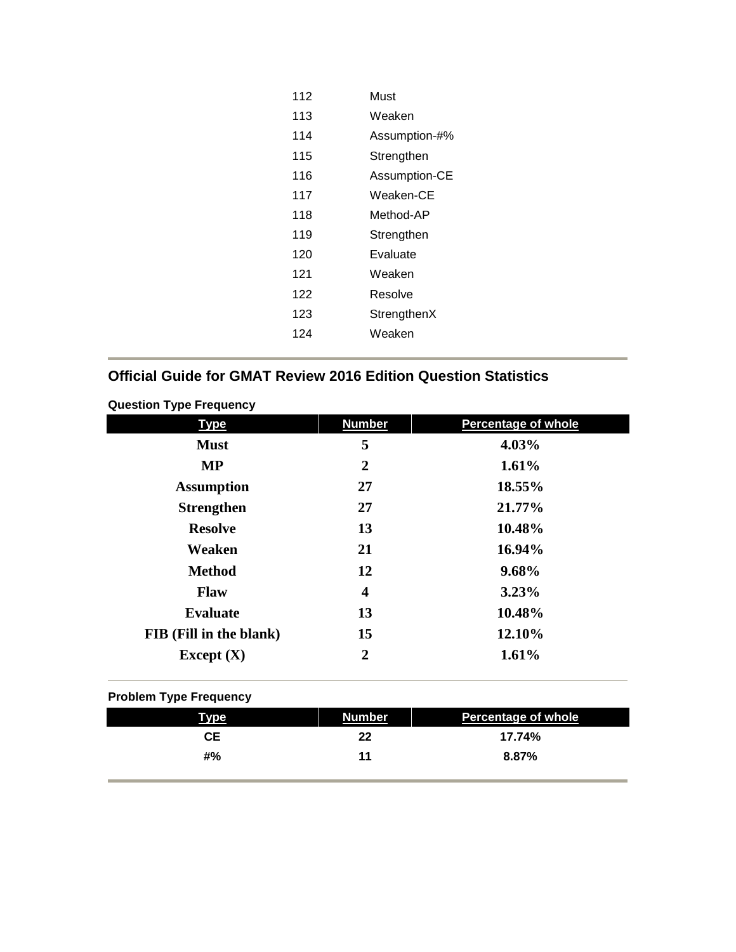| 112 | Must          |
|-----|---------------|
| 113 | Weaken        |
| 114 | Assumption-#% |
| 115 | Strengthen    |
| 116 | Assumption-CE |
| 117 | Weaken-CE     |
| 118 | Method-AP     |
| 119 | Strengthen    |
| 120 | Evaluate      |
| 121 | Weaken        |
| 122 | Resolve       |
| 123 | StrengthenX   |
| 124 | Weaken        |
|     |               |

# **Official Guide for GMAT Review 2016 Edition Question Statistics**

| <b>Type</b>             | <b>Number</b>  | <b>Percentage of whole</b> |  |
|-------------------------|----------------|----------------------------|--|
| <b>Must</b>             | 5              | 4.03%                      |  |
| <b>MP</b>               | $\mathbf 2$    | 1.61%                      |  |
| <b>Assumption</b>       | 27             | 18.55%                     |  |
| <b>Strengthen</b>       | 27             | 21.77%                     |  |
| <b>Resolve</b>          | 13             | 10.48%                     |  |
| Weaken                  | 21             | 16.94%                     |  |
| <b>Method</b>           | 12             | 9.68%                      |  |
| <b>Flaw</b>             | 4              | 3.23%                      |  |
| <b>Evaluate</b>         | 13             | 10.48%                     |  |
| FIB (Fill in the blank) | 15             | 12.10%                     |  |
| Except $(X)$            | $\overline{2}$ | 1.61%                      |  |
|                         |                |                            |  |

#### **Question Type Frequency**

### **Problem Type Frequency**

| Type      | Number | <b>Percentage of whole</b> |
|-----------|--------|----------------------------|
| <b>CE</b> | 22     | 17.74%                     |
| #%        | 11     | 8.87%                      |